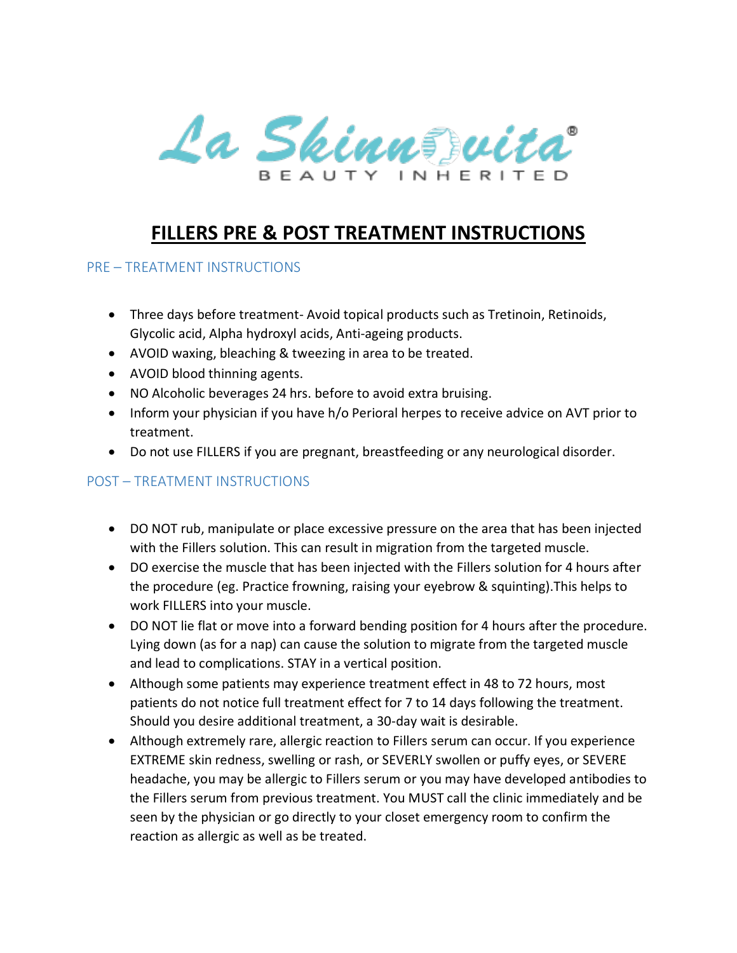

## **FILLERS PRE & POST TREATMENT INSTRUCTIONS**

## PRE – TREATMENT INSTRUCTIONS

- Three days before treatment- Avoid topical products such as Tretinoin, Retinoids, Glycolic acid, Alpha hydroxyl acids, Anti-ageing products.
- AVOID waxing, bleaching & tweezing in area to be treated.
- AVOID blood thinning agents.
- NO Alcoholic beverages 24 hrs. before to avoid extra bruising.
- Inform your physician if you have h/o Perioral herpes to receive advice on AVT prior to treatment.
- Do not use FILLERS if you are pregnant, breastfeeding or any neurological disorder.

## POST – TREATMENT INSTRUCTIONS

- DO NOT rub, manipulate or place excessive pressure on the area that has been injected with the Fillers solution. This can result in migration from the targeted muscle.
- DO exercise the muscle that has been injected with the Fillers solution for 4 hours after the procedure (eg. Practice frowning, raising your eyebrow & squinting).This helps to work FILLERS into your muscle.
- DO NOT lie flat or move into a forward bending position for 4 hours after the procedure. Lying down (as for a nap) can cause the solution to migrate from the targeted muscle and lead to complications. STAY in a vertical position.
- Although some patients may experience treatment effect in 48 to 72 hours, most patients do not notice full treatment effect for 7 to 14 days following the treatment. Should you desire additional treatment, a 30-day wait is desirable.
- Although extremely rare, allergic reaction to Fillers serum can occur. If you experience EXTREME skin redness, swelling or rash, or SEVERLY swollen or puffy eyes, or SEVERE headache, you may be allergic to Fillers serum or you may have developed antibodies to the Fillers serum from previous treatment. You MUST call the clinic immediately and be seen by the physician or go directly to your closet emergency room to confirm the reaction as allergic as well as be treated.